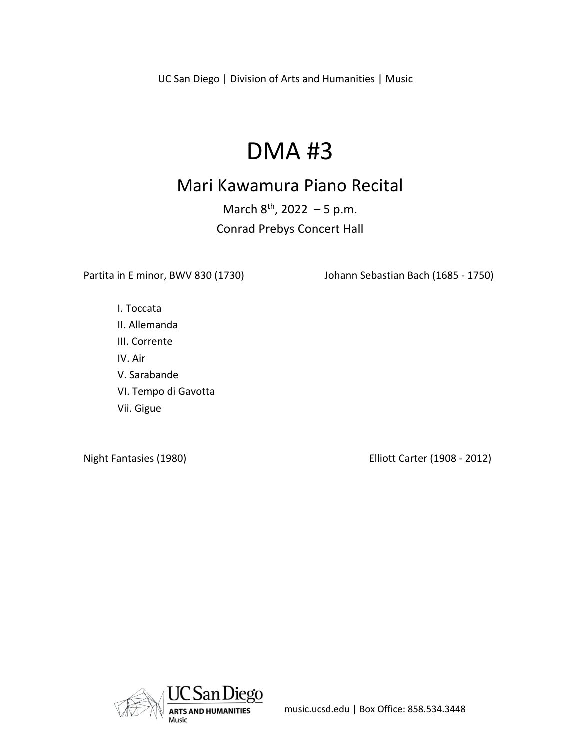UC San Diego | Division of Arts and Humanities | Music

# DMA #3

# Mari Kawamura Piano Recital

March  $8^{th}$ , 2022 – 5 p.m. Conrad Prebys Concert Hall

Partita in E minor, BWV 830 (1730) Johann Sebastian Bach (1685 - 1750)

I. Toccata II. Allemanda III. Corrente IV. Air V. Sarabande VI. Tempo di Gavotta Vii. Gigue

Night Fantasies (1980) Elliott Carter (1908 - 2012)

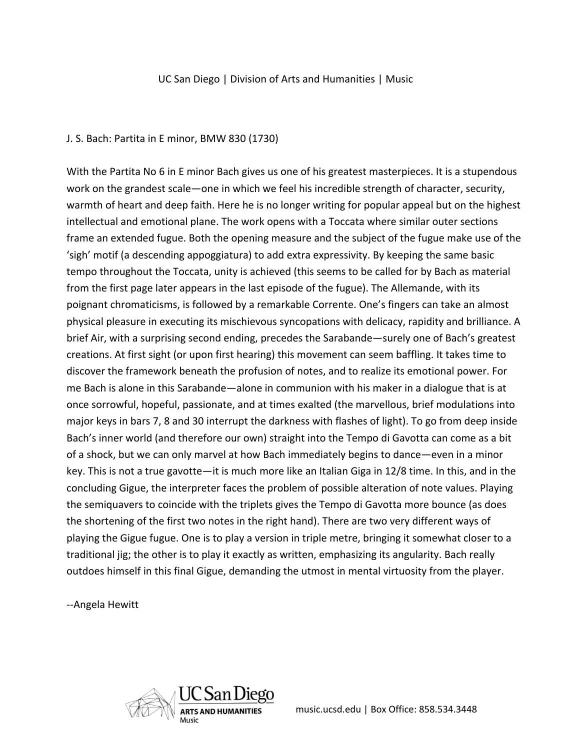#### UC San Diego | Division of Arts and Humanities | Music

#### J. S. Bach: Partita in E minor, BMW 830 (1730)

With the Partita No 6 in E minor Bach gives us one of his greatest masterpieces. It is a stupendous work on the grandest scale—one in which we feel his incredible strength of character, security, warmth of heart and deep faith. Here he is no longer writing for popular appeal but on the highest intellectual and emotional plane. The work opens with a Toccata where similar outer sections frame an extended fugue. Both the opening measure and the subject of the fugue make use of the 'sigh' motif (a descending appoggiatura) to add extra expressivity. By keeping the same basic tempo throughout the Toccata, unity is achieved (this seems to be called for by Bach as material from the first page later appears in the last episode of the fugue). The Allemande, with its poignant chromaticisms, is followed by a remarkable Corrente. One's fingers can take an almost physical pleasure in executing its mischievous syncopations with delicacy, rapidity and brilliance. A brief Air, with a surprising second ending, precedes the Sarabande—surely one of Bach's greatest creations. At first sight (or upon first hearing) this movement can seem baffling. It takes time to discover the framework beneath the profusion of notes, and to realize its emotional power. For me Bach is alone in this Sarabande—alone in communion with his maker in a dialogue that is at once sorrowful, hopeful, passionate, and at times exalted (the marvellous, brief modulations into major keys in bars 7, 8 and 30 interrupt the darkness with flashes of light). To go from deep inside Bach's inner world (and therefore our own) straight into the Tempo di Gavotta can come as a bit of a shock, but we can only marvel at how Bach immediately begins to dance—even in a minor key. This is not a true gavotte—it is much more like an Italian Giga in 12/8 time. In this, and in the concluding Gigue, the interpreter faces the problem of possible alteration of note values. Playing the semiquavers to coincide with the triplets gives the Tempo di Gavotta more bounce (as does the shortening of the first two notes in the right hand). There are two very different ways of playing the Gigue fugue. One is to play a version in triple metre, bringing it somewhat closer to a traditional jig; the other is to play it exactly as written, emphasizing its angularity. Bach really outdoes himself in this final Gigue, demanding the utmost in mental virtuosity from the player.

--Angela Hewitt